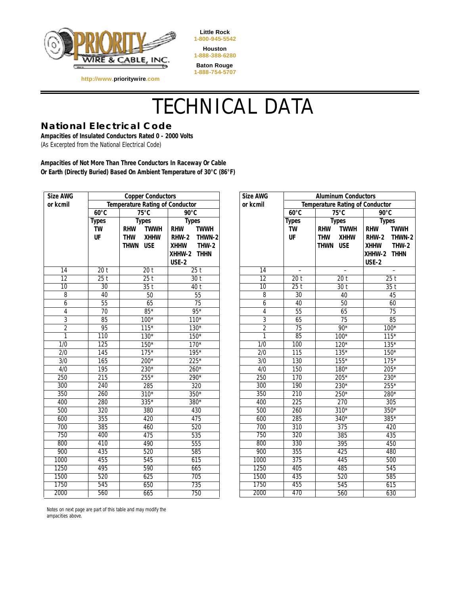

**Little Rock 1-800-945-5542 Houston 1-888-388-6280 Baton Rouge 1-888-754-5707**

# TECHNICAL DATA

### **National Electrical Code**

**Ampacities of Insulated Conductors Rated 0 - 2000 Volts**  (As Excerpted from the National Electrical Code)

**http://www.prioritywire.com**

**Ampacities of Not More Than Three Conductors In Raceway Or Cable Or Earth (Directly Buried) Based On Ambient Temperature of 30°C (86°F)**

| Size AWG         | <b>Copper Conductors</b> |                                        | <b>Size AWG</b>             | <b>Aluminum Conductors</b> |                                        |                           |                           |
|------------------|--------------------------|----------------------------------------|-----------------------------|----------------------------|----------------------------------------|---------------------------|---------------------------|
| or kcmil         |                          | <b>Temperature Rating of Conductor</b> |                             | or kcmil                   | <b>Temperature Rating of Conductor</b> |                           |                           |
|                  | $60^{\circ}$ C           | $75^{\circ}$ C                         | $90^{\circ}$ C              |                            | $60^{\circ}$ C                         | $75^{\circ}$ C            | $90^{\circ}$ C            |
|                  | <b>Types</b>             | <b>Types</b>                           | <b>Types</b>                |                            | <b>Types</b>                           | <b>Types</b>              | <b>Types</b>              |
|                  | <b>TW</b>                | <b>TWWH</b><br><b>RHW</b>              | <b>TWWH</b><br><b>RHW</b>   |                            | <b>TW</b>                              | <b>RHW</b><br><b>TWWH</b> | <b>TWWH</b><br><b>RHW</b> |
|                  | UF                       | <b>THW</b><br><b>XHHW</b>              | <b>RHW-2</b><br>THWN-2      |                            | UF                                     | <b>THW</b><br><b>XHHW</b> | <b>RHW-2</b><br>THWN-2    |
|                  |                          | <b>USE</b><br>THWN                     | <b>THW-2</b><br><b>XHHW</b> |                            |                                        | THWN USE                  | $THW-2$<br><b>XHHW</b>    |
|                  |                          |                                        | XHHW-2 THHN                 |                            |                                        |                           | XHHW-2 THHN               |
|                  |                          |                                        | USE-2                       |                            |                                        |                           | <b>USE-2</b>              |
| 14               | 20 <sub>t</sub>          | 20 <sub>t</sub>                        | 25t                         | $\overline{14}$            | $\overline{\phantom{a}}$               | $\equiv$                  | $\overline{a}$            |
| $\overline{12}$  | $\overline{25}$ t        | 25t                                    | 30t                         | $\overline{12}$            | 20 <sub>t</sub>                        | 20 <sub>t</sub>           | 25t                       |
| $\overline{10}$  | $\overline{30}$          | 35t                                    | 40t                         | $\overline{10}$            | 25t                                    | $\overline{30}$ t         | 35t                       |
| 8                | 40                       | 50                                     | 55                          | 8                          | 30                                     | 40                        | 45                        |
| 6                | $\overline{55}$          | 65                                     | 75                          | 6                          | 40                                     | 50                        | 60                        |
| 4                | $\overline{70}$          | $85*$                                  | $\overline{95*}$            | 4                          | $\overline{55}$                        | 65                        | $\overline{75}$           |
| $\overline{3}$   | 85                       | $100*$                                 | $110*$                      | $\overline{3}$             | 65                                     | 75                        | 85                        |
| $\overline{2}$   | 95                       | $115*$                                 | $130*$                      | $\overline{2}$             | $\overline{75}$                        | $90*$                     | $100*$                    |
| 1                | 110                      | $130*$                                 | $150*$                      | 1                          | 85                                     | $100*$                    | $115*$                    |
| $\overline{1/0}$ | 125                      | $150*$                                 | $170*$                      | $\overline{1/0}$           | 100                                    | $120*$                    | $135*$                    |
| $\overline{2/0}$ | 145                      | $175*$                                 | 195*                        | 2/0                        | 115                                    | $135*$                    | $150*$                    |
| $\overline{3/0}$ | 165                      | 200*                                   | $225*$                      | $\overline{3/0}$           | 130                                    | $155*$                    | $175*$                    |
| 4/0              | 195                      | 230*                                   | $260*$                      | 4/0                        | 150                                    | $180*$                    | 205*                      |
| 250              | $\overline{215}$         | 255*                                   | 290*                        | 250                        | 170                                    | $205*$                    | $230*$                    |
| 300              | 240                      | 285                                    | 320                         | 300                        | 190                                    | 230*                      | $255*$                    |
| 350              | 260                      | $\overline{310^*}$                     | 350*                        | 350                        | 210                                    | 250*                      | 280*                      |
| 400              | 280                      | $335*$                                 | 380*                        | 400                        | 225                                    | 270                       | 305                       |
| 500              | 320                      | 380                                    | 430                         | 500                        | 260                                    | $310*$                    | $350*$                    |
| 600              | 355                      | 420                                    | 475                         | 600                        | 285                                    | 340*                      | $385*$                    |
| 700              | 385                      | 460                                    | $\overline{520}$            | 700                        | $\overline{310}$                       | $\overline{375}$          | 420                       |
| 750<br>800       | 400                      | 475                                    | 535                         | 750<br>800                 | 320<br>330                             | 385                       | 435                       |
| 900              | 410                      | 490                                    | 555                         | 900                        |                                        | 395                       | 450                       |
|                  | 435                      | 520                                    | 585                         |                            | 355                                    | 425                       | 480                       |
| 1000<br>1250     | 455<br>495               | 545                                    | 615                         | 1000<br>1250               | 375<br>405                             | 445                       | 500                       |
| 1500             | 520                      | 590                                    | 665                         | 1500                       | 435                                    | 485                       | 545                       |
| 1750             |                          | 625                                    | 705<br>735                  | 1750                       | 455                                    | 520                       | 585                       |
|                  | 545                      | 650                                    |                             |                            |                                        | 545                       | 615                       |
| 2000             | 560                      | 665                                    | 750                         | 2000                       | 470                                    | 560                       | 630                       |

Notes on next page are part of this table and may modify the ampacities above.